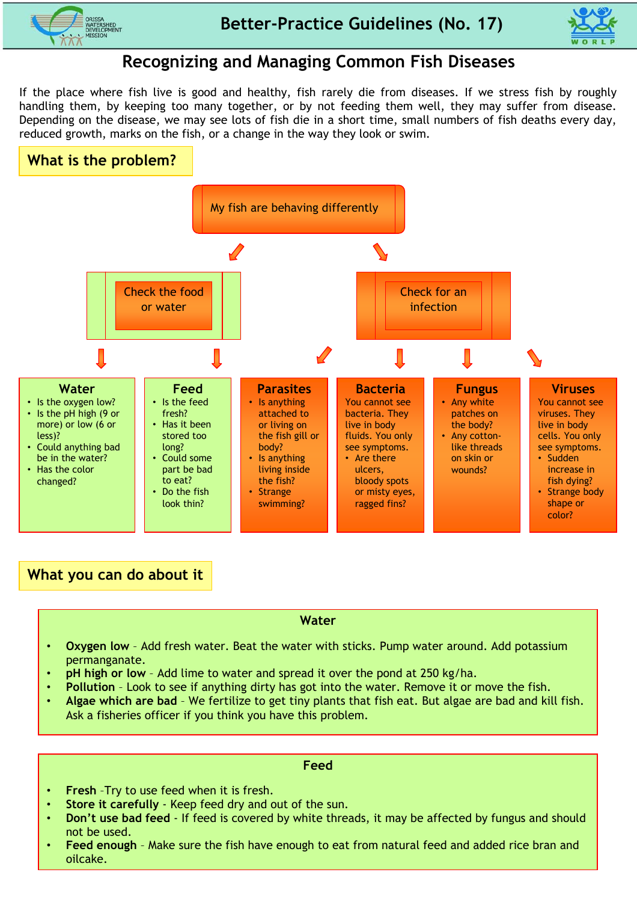



# **Recognizing and Managing Common Fish Diseases**

If the place where fish live is good and healthy, fish rarely die from diseases. If we stress fish by roughly handling them, by keeping too many together, or by not feeding them well, they may suffer from disease. Depending on the disease, we may see lots of fish die in a short time, small numbers of fish deaths every day, reduced growth, marks on the fish, or a change in the way they look or swim.



**What you can do about it**

## **Water**

- **Oxygen low** Add fresh water. Beat the water with sticks. Pump water around. Add potassium permanganate.
- **pH high or low** Add lime to water and spread it over the pond at 250 kg/ha.
- **Pollution** Look to see if anything dirty has got into the water. Remove it or move the fish.
- **Algae which are bad**  We fertilize to get tiny plants that fish eat. But algae are bad and kill fish. Ask a fisheries officer if you think you have this problem.

## **Feed**

- **Fresh** –Try to use feed when it is fresh.
- **Store it carefully**  Keep feed dry and out of the sun.
- **Don't use bad feed** If feed is covered by white threads, it may be affected by fungus and should not be used.
- **Feed enough**  Make sure the fish have enough to eat from natural feed and added rice bran and oilcake.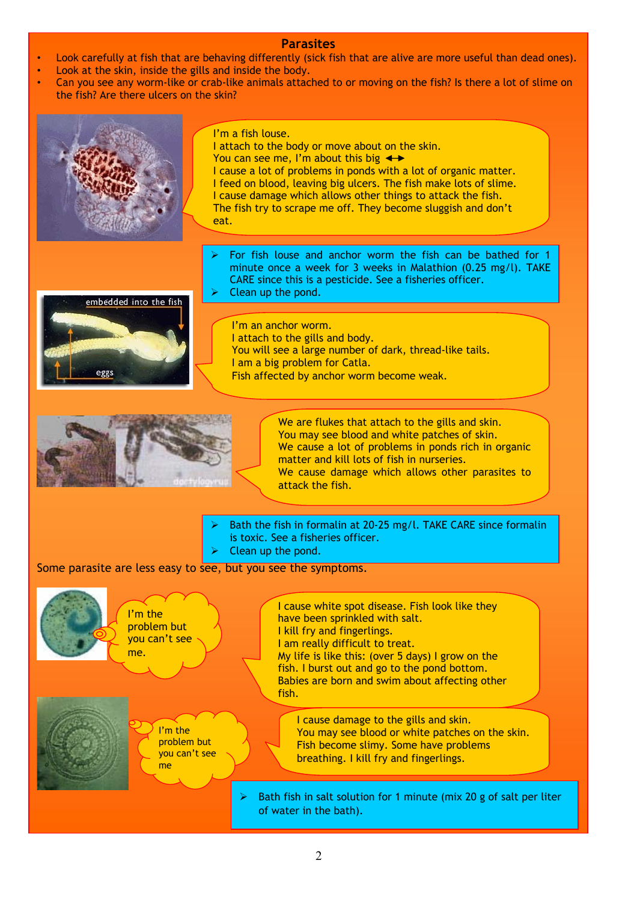## **Parasites**

- Look carefully at fish that are behaving differently (sick fish that are alive are more useful than dead ones).
- Look at the skin, inside the gills and inside the body.
- Can you see any worm-like or crab-like animals attached to or moving on the fish? Is there a lot of slime on the fish? Are there ulcers on the skin?

|                                                               | I'm a fish louse.<br>I attach to the body or move about on the skin.<br>You can see me, I'm about this big $\leftrightarrow$<br>I cause a lot of problems in ponds with a lot of organic matter.<br>I feed on blood, leaving big ulcers. The fish make lots of slime.<br>I cause damage which allows other things to attack the fish.<br>The fish try to scrape me off. They become sluggish and don't<br>eat. |
|---------------------------------------------------------------|----------------------------------------------------------------------------------------------------------------------------------------------------------------------------------------------------------------------------------------------------------------------------------------------------------------------------------------------------------------------------------------------------------------|
| embedded into the fish                                        | For fish louse and anchor worm the fish can be bathed for 1<br>minute once a week for 3 weeks in Malathion (0.25 mg/l). TAKE<br>CARE since this is a pesticide. See a fisheries officer.<br>Clean up the pond.<br>⋗<br>I'm an anchor worm.                                                                                                                                                                     |
|                                                               | I attach to the gills and body.<br>You will see a large number of dark, thread-like tails.<br>I am a big problem for Catla.<br>Fish affected by anchor worm become weak.                                                                                                                                                                                                                                       |
|                                                               | We are flukes that attach to the gills and skin.<br>You may see blood and white patches of skin.<br>We cause a lot of problems in ponds rich in organic<br>matter and kill lots of fish in nurseries.<br>We cause damage which allows other parasites to<br>attack the fish.                                                                                                                                   |
|                                                               | Bath the fish in formalin at 20-25 mg/l. TAKE CARE since formalin<br>is toxic. See a fisheries officer.<br>Clean up the pond.                                                                                                                                                                                                                                                                                  |
| Some parasite are less easy to see, but you see the symptoms. |                                                                                                                                                                                                                                                                                                                                                                                                                |
| I'm the<br>problem but<br>you can't see<br>me.                | I cause white spot disease. Fish look like they<br>have been sprinkled with salt.<br>I kill fry and fingerlings.<br>I am really difficult to treat.<br>My life is like this: (over 5 days) I grow on the<br>fish. I burst out and go to the pond bottom.<br>Babies are born and swim about affecting other<br>fish.                                                                                            |
| I'm the<br>problem but<br>you can't see<br>me                 | I cause damage to the gills and skin.<br>You may see blood or white patches on the skin.<br>Fish become slimy. Some have problems<br>breathing. I kill fry and fingerlings.<br>Bath fish in salt solution for 1 minute (mix 20 g of salt per liter<br>⋗<br>of water in the bath).                                                                                                                              |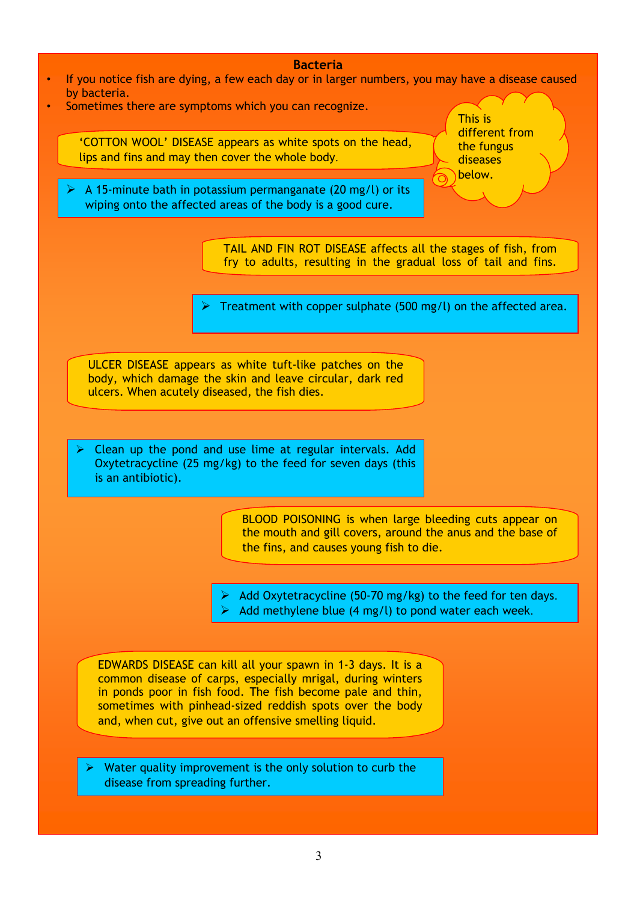#### **Bacteria**

- If you notice fish are dying, a few each day or in larger numbers, you may have a disease caused by bacteria.
- Sometimes there are symptoms which you can recognize.

 'COTTON WOOL' DISEASE appears as white spots on the head, lips and fins and may then cover the whole body.

 $\triangleright$  A 15-minute bath in potassium permanganate (20 mg/l) or its wiping onto the affected areas of the body is a good cure.

This is different from the fungus diseases below.

TAIL AND FIN ROT DISEASE affects all the stages of fish, from fry to adults, resulting in the gradual loss of tail and fins.

Treatment with copper sulphate (500 mg/l) on the affected area.

ULCER DISEASE appears as white tuft-like patches on the body, which damage the skin and leave circular, dark red ulcers. When acutely diseased, the fish dies.

Clean up the pond and use lime at regular intervals. Add Oxytetracycline (25 mg/kg) to the feed for seven days (this is an antibiotic).

> BLOOD POISONING is when large bleeding cuts appear on the mouth and gill covers, around the anus and the base of the fins, and causes young fish to die.

- Add Oxytetracycline (50-70 mg/kg) to the feed for ten days.
- Add methylene blue (4 mg/l) to pond water each week.

EDWARDS DISEASE can kill all your spawn in 1-3 days. It is a common disease of carps, especially mrigal, during winters in ponds poor in fish food. The fish become pale and thin, sometimes with pinhead-sized reddish spots over the body and, when cut, give out an offensive smelling liquid.

Water quality improvement is the only solution to curb the disease from spreading further.